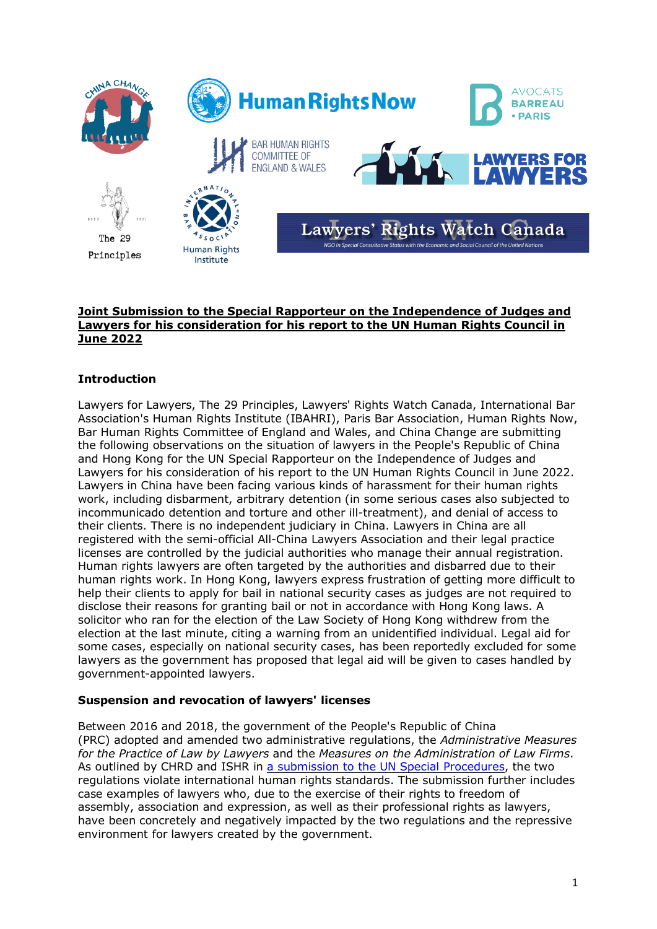

#### **Joint Submission to the Special Rapporteur on the Independence of Judges and Lawyers for his consideration for his report to the UN Human Rights Council in June 2022**

# **Introduction**

Lawyers for Lawyers, The 29 Principles, Lawyers' Rights Watch Canada, International Bar Association's Human Rights Institute (IBAHRI), Paris Bar Association, Human Rights Now, Bar Human Rights Committee of England and Wales, and China Change are submitting the following observations on the situation of lawyers in the People's Republic of China and Hong Kong for the UN Special Rapporteur on the Independence of Judges and Lawyers for his consideration of his report to the UN Human Rights Council in June 2022. Lawyers in China have been facing various kinds of harassment for their human rights work, including disbarment, arbitrary detention (in some serious cases also subjected to incommunicado detention and torture and other ill-treatment), and denial of access to their clients. There is no independent judiciary in China. Lawyers in China are all registered with the semi-official All-China Lawyers Association and their legal practice licenses are controlled by the judicial authorities who manage their annual registration. Human rights lawyers are often targeted by the authorities and disbarred due to their human rights work. In Hong Kong, lawyers express frustration of getting more difficult to help their clients to apply for bail in national security cases as judges are not required to disclose their reasons for granting bail or not in accordance with Hong Kong laws. A solicitor who ran for the election of the Law Society of Hong Kong withdrew from the election at the last minute, citing a warning from an unidentified individual. Legal aid for some cases, especially on national security cases, has been reportedly excluded for some lawyers as the government has proposed that legal aid will be given to cases handled by government-appointed lawyers.

## **Suspension and revocation of lawyers' licenses**

Between 2016 and 2018, the government of the People's Republic of China (PRC) adopted and amended two administrative regulations, the *Administrative Measures for the Practice of Law by Lawyers* and the *Measures on the Administration of Law Firms*. As outlined by CHRD and ISHR in a submission to the UN Special Procedures, the two regulations violate international human rights standards. The submission further includes case examples of lawyers who, due to the exercise of their rights to freedom of assembly, association and expression, as well as their professional rights as lawyers, have been concretely and negatively impacted by the two regulations and the repressive environment for lawyers created by the government.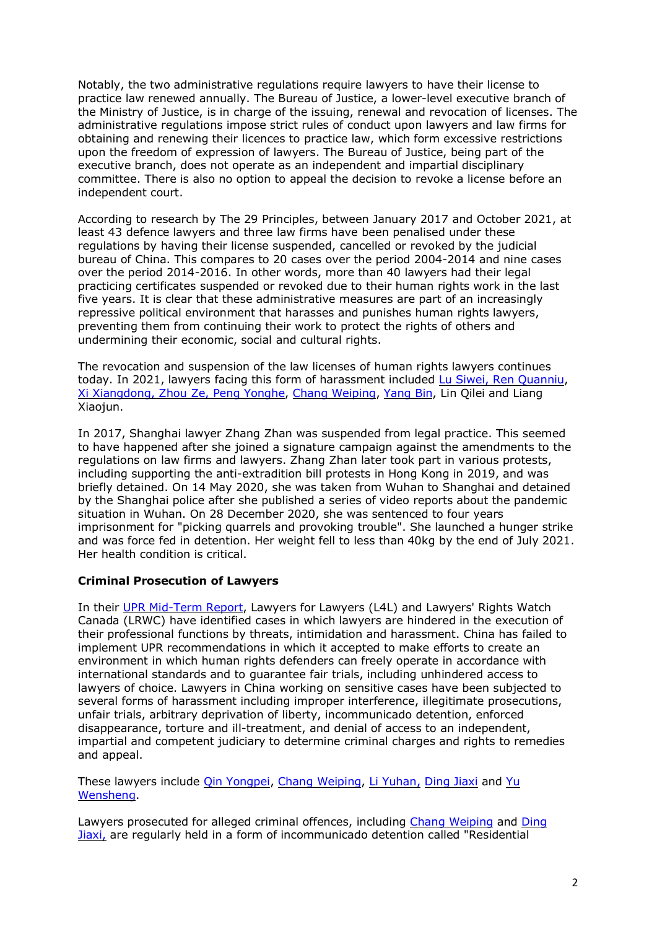Notably, the two administrative regulations require lawyers to have their license to practice law renewed annually. The Bureau of Justice, a lower-level executive branch of the Ministry of Justice, is in charge of the issuing, renewal and revocation of licenses. The administrative regulations impose strict rules of conduct upon lawyers and law firms for obtaining and renewing their licences to practice law, which form excessive restrictions upon the freedom of expression of lawyers. The Bureau of Justice, being part of the executive branch, does not operate as an independent and impartial disciplinary committee. There is also no option to appeal the decision to revoke a license before an independent court.

According to research by The 29 Principles, between January 2017 and October 2021, at least 43 defence lawyers and three law firms have been penalised under these regulations by having their license suspended, cancelled or revoked by the judicial bureau of China. This compares to 20 cases over the period 2004-2014 and nine cases over the period 2014-2016. In other words, more than 40 lawyers had their legal practicing certificates suspended or revoked due to their human rights work in the last five years. It is clear that these administrative measures are part of an increasingly repressive political environment that harasses and punishes human rights lawyers, preventing them from continuing their work to protect the rights of others and undermining their economic, social and cultural rights.

The revocation and suspension of the law licenses of human rights lawyers continues today. In 2021, lawyers facing this form of harassment included Lu Siwei, Ren Quanniu, Xi Xiangdong, Zhou Ze, Peng Yonghe, Chang Weiping, Yang Bin, Lin Qilei and Liang Xiaojun.

In 2017, Shanghai lawyer Zhang Zhan was suspended from legal practice. This seemed to have happened after she joined a signature campaign against the amendments to the regulations on law firms and lawyers. Zhang Zhan later took part in various protests, including supporting the anti-extradition bill protests in Hong Kong in 2019, and was briefly detained. On 14 May 2020, she was taken from Wuhan to Shanghai and detained by the Shanghai police after she published a series of video reports about the pandemic situation in Wuhan. On 28 December 2020, she was sentenced to four years imprisonment for "picking quarrels and provoking trouble". She launched a hunger strike and was force fed in detention. Her weight fell to less than 40kg by the end of July 2021. Her health condition is critical.

## **Criminal Prosecution of Lawyers**

In their UPR Mid-Term Report, Lawyers for Lawyers (L4L) and Lawyers' Rights Watch Canada (LRWC) have identified cases in which lawyers are hindered in the execution of their professional functions by threats, intimidation and harassment. China has failed to implement UPR recommendations in which it accepted to make efforts to create an environment in which human rights defenders can freely operate in accordance with international standards and to guarantee fair trials, including unhindered access to lawyers of choice. Lawyers in China working on sensitive cases have been subjected to several forms of harassment including improper interference, illegitimate prosecutions, unfair trials, arbitrary deprivation of liberty, incommunicado detention, enforced disappearance, torture and ill-treatment, and denial of access to an independent, impartial and competent judiciary to determine criminal charges and rights to remedies and appeal.

These lawyers include *Qin Yongpei, Chang Weiping, Li Yuhan, Ding Jiaxi and Yu* Wensheng.

Lawyers prosecuted for alleged criminal offences, including Chang Weiping and Ding Jiaxi, are regularly held in a form of incommunicado detention called "Residential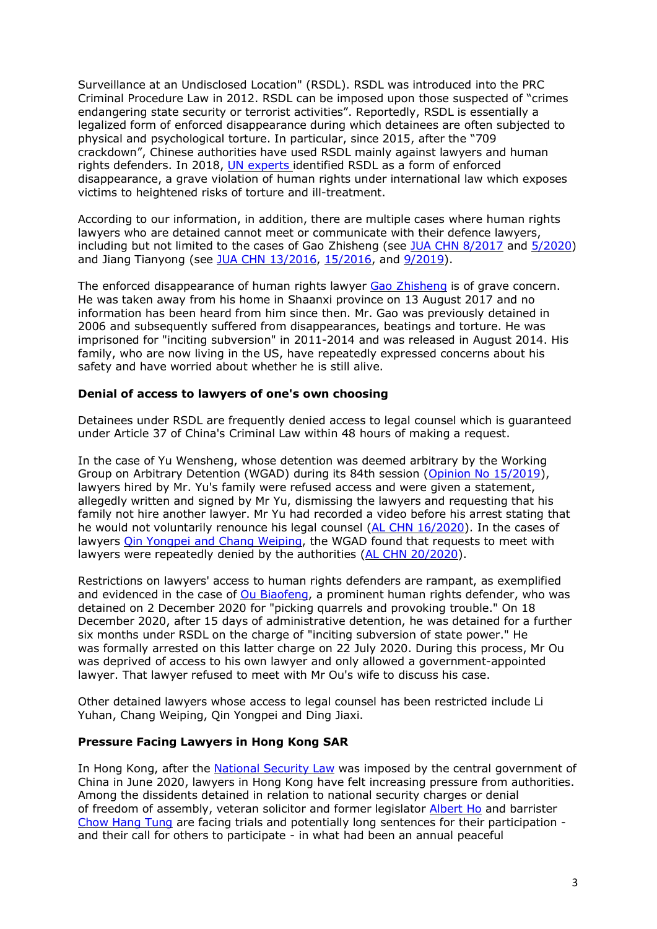Surveillance at an Undisclosed Location" (RSDL). RSDL was introduced into the PRC Criminal Procedure Law in 2012. RSDL can be imposed upon those suspected of "crimes endangering state security or terrorist activities". Reportedly, RSDL is essentially a legalized form of enforced disappearance during which detainees are often subjected to physical and psychological torture. In particular, since 2015, after the "709 crackdown", Chinese authorities have used RSDL mainly against lawyers and human rights defenders. In 2018, UN experts identified RSDL as a form of enforced disappearance, a grave violation of human rights under international law which exposes victims to heightened risks of torture and ill-treatment.

According to our information, in addition, there are multiple cases where human rights lawyers who are detained cannot meet or communicate with their defence lawyers, including but not limited to the cases of Gao Zhisheng (see JUA CHN 8/2017 and 5/2020) and Jiang Tianyong (see JUA CHN 13/2016, 15/2016, and 9/2019).

The enforced disappearance of human rights lawyer Gao Zhisheng is of grave concern. He was taken away from his home in Shaanxi province on 13 August 2017 and no information has been heard from him since then. Mr. Gao was previously detained in 2006 and subsequently suffered from disappearances, beatings and torture. He was imprisoned for "inciting subversion" in 2011-2014 and was released in August 2014. His family, who are now living in the US, have repeatedly expressed concerns about his safety and have worried about whether he is still alive.

## **Denial of access to lawyers of one's own choosing**

Detainees under RSDL are frequently denied access to legal counsel which is guaranteed under Article 37 of China's Criminal Law within 48 hours of making a request.

In the case of Yu Wensheng, whose detention was deemed arbitrary by the Working Group on Arbitrary Detention (WGAD) during its 84th session (Opinion No 15/2019), lawyers hired by Mr. Yu's family were refused access and were given a statement, allegedly written and signed by Mr Yu, dismissing the lawyers and requesting that his family not hire another lawyer. Mr Yu had recorded a video before his arrest stating that he would not voluntarily renounce his legal counsel (AL CHN 16/2020). In the cases of lawyers Qin Yongpei and Chang Weiping, the WGAD found that requests to meet with lawyers were repeatedly denied by the authorities (AL CHN 20/2020).

Restrictions on lawyers' access to human rights defenders are rampant, as exemplified and evidenced in the case of Ou Biaofeng, a prominent human rights defender, who was detained on 2 December 2020 for "picking quarrels and provoking trouble." On 18 December 2020, after 15 days of administrative detention, he was detained for a further six months under RSDL on the charge of "inciting subversion of state power." He was formally arrested on this latter charge on 22 July 2020. During this process, Mr Ou was deprived of access to his own lawyer and only allowed a government-appointed lawyer. That lawyer refused to meet with Mr Ou's wife to discuss his case.

Other detained lawyers whose access to legal counsel has been restricted include Li Yuhan, Chang Weiping, Qin Yongpei and Ding Jiaxi.

### **Pressure Facing Lawyers in Hong Kong SAR**

In Hong Kong, after the National Security Law was imposed by the central government of China in June 2020, lawyers in Hong Kong have felt increasing pressure from authorities. Among the dissidents detained in relation to national security charges or denial of freedom of assembly, veteran solicitor and former legislator Albert Ho and barrister Chow Hang Tung are facing trials and potentially long sentences for their participation and their call for others to participate - in what had been an annual peaceful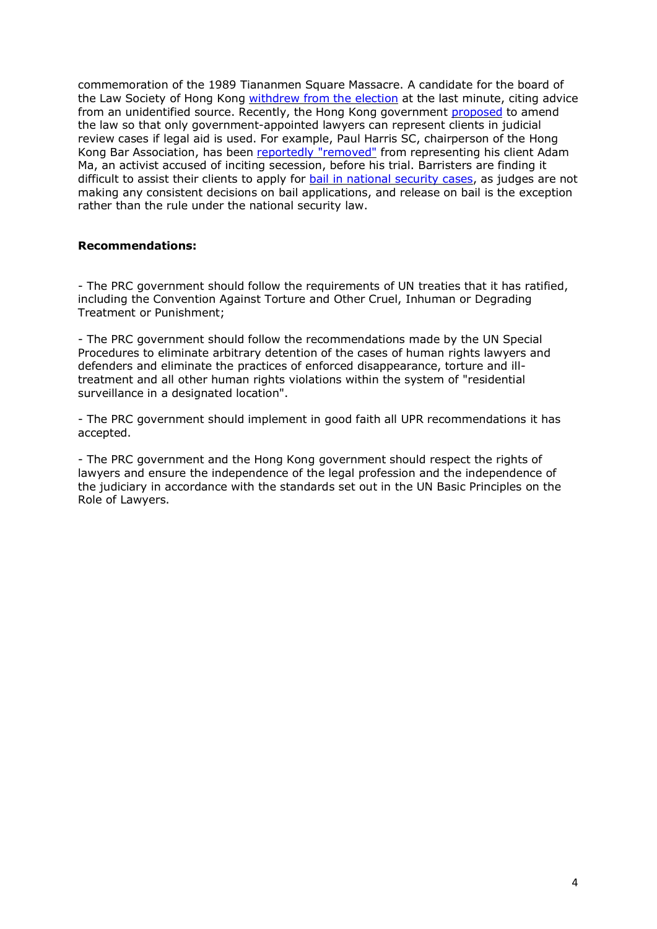commemoration of the 1989 Tiananmen Square Massacre. A candidate for the board of the Law Society of Hong Kong withdrew from the election at the last minute, citing advice from an unidentified source. Recently, the Hong Kong government proposed to amend the law so that only government-appointed lawyers can represent clients in judicial review cases if legal aid is used. For example, Paul Harris SC, chairperson of the Hong Kong Bar Association, has been reportedly "removed" from representing his client Adam Ma, an activist accused of inciting secession, before his trial. Barristers are finding it difficult to assist their clients to apply for bail in national security cases, as judges are not making any consistent decisions on bail applications, and release on bail is the exception rather than the rule under the national security law.

### **Recommendations:**

- The PRC government should follow the requirements of UN treaties that it has ratified, including the Convention Against Torture and Other Cruel, Inhuman or Degrading Treatment or Punishment;

- The PRC government should follow the recommendations made by the UN Special Procedures to eliminate arbitrary detention of the cases of human rights lawyers and defenders and eliminate the practices of enforced disappearance, torture and illtreatment and all other human rights violations within the system of "residential surveillance in a designated location".

- The PRC government should implement in good faith all UPR recommendations it has accepted.

- The PRC government and the Hong Kong government should respect the rights of lawyers and ensure the independence of the legal profession and the independence of the judiciary in accordance with the standards set out in the UN Basic Principles on the Role of Lawyers.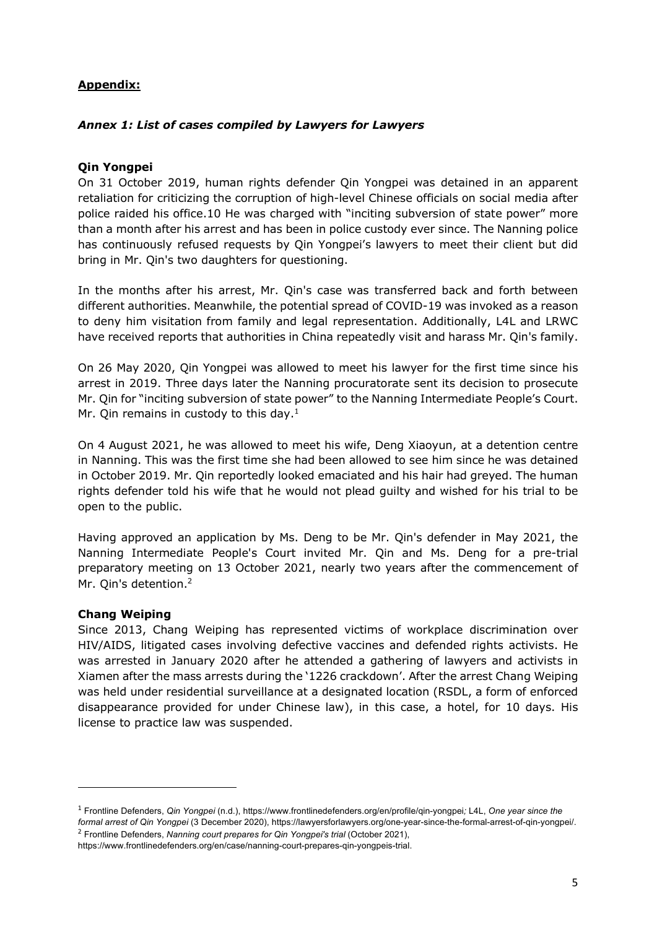# **Appendix:**

## *Annex 1: List of cases compiled by Lawyers for Lawyers*

## **Qin Yongpei**

On 31 October 2019, human rights defender Qin Yongpei was detained in an apparent retaliation for criticizing the corruption of high-level Chinese officials on social media after police raided his office.10 He was charged with "inciting subversion of state power" more than a month after his arrest and has been in police custody ever since. The Nanning police has continuously refused requests by Qin Yongpei's lawyers to meet their client but did bring in Mr. Qin's two daughters for questioning.

In the months after his arrest, Mr. Qin's case was transferred back and forth between different authorities. Meanwhile, the potential spread of COVID-19 was invoked as a reason to deny him visitation from family and legal representation. Additionally, L4L and LRWC have received reports that authorities in China repeatedly visit and harass Mr. Qin's family.

On 26 May 2020, Qin Yongpei was allowed to meet his lawyer for the first time since his arrest in 2019. Three days later the Nanning procuratorate sent its decision to prosecute Mr. Qin for "inciting subversion of state power" to the Nanning Intermediate People's Court. Mr. Qin remains in custody to this day. $1$ 

On 4 August 2021, he was allowed to meet his wife, Deng Xiaoyun, at a detention centre in Nanning. This was the first time she had been allowed to see him since he was detained in October 2019. Mr. Qin reportedly looked emaciated and his hair had greyed. The human rights defender told his wife that he would not plead guilty and wished for his trial to be open to the public.

Having approved an application by Ms. Deng to be Mr. Qin's defender in May 2021, the Nanning Intermediate People's Court invited Mr. Qin and Ms. Deng for a pre-trial preparatory meeting on 13 October 2021, nearly two years after the commencement of Mr. Qin's detention.<sup>2</sup>

## **Chang Weiping**

Since 2013, Chang Weiping has represented victims of workplace discrimination over HIV/AIDS, litigated cases involving defective vaccines and defended rights activists. He was arrested in January 2020 after he attended a gathering of lawyers and activists in Xiamen after the mass arrests during the '1226 crackdown'. After the arrest Chang Weiping was held under residential surveillance at a designated location (RSDL, a form of enforced disappearance provided for under Chinese law), in this case, a hotel, for 10 days. His license to practice law was suspended.

<sup>1</sup> Frontline Defenders, *Qin Yongpei* (n.d.), https://www.frontlinedefenders.org/en/profile/qin-yongpei*;* L4L, *One year since the formal arrest of Qin Yongpei* (3 December 2020), https://lawyersforlawyers.org/one-year-since-the-formal-arrest-of-qin-yongpei/.

<sup>2</sup> Frontline Defenders, *Nanning court prepares for Qin Yongpei's trial* (October 2021),

https://www.frontlinedefenders.org/en/case/nanning-court-prepares-qin-yongpeis-trial.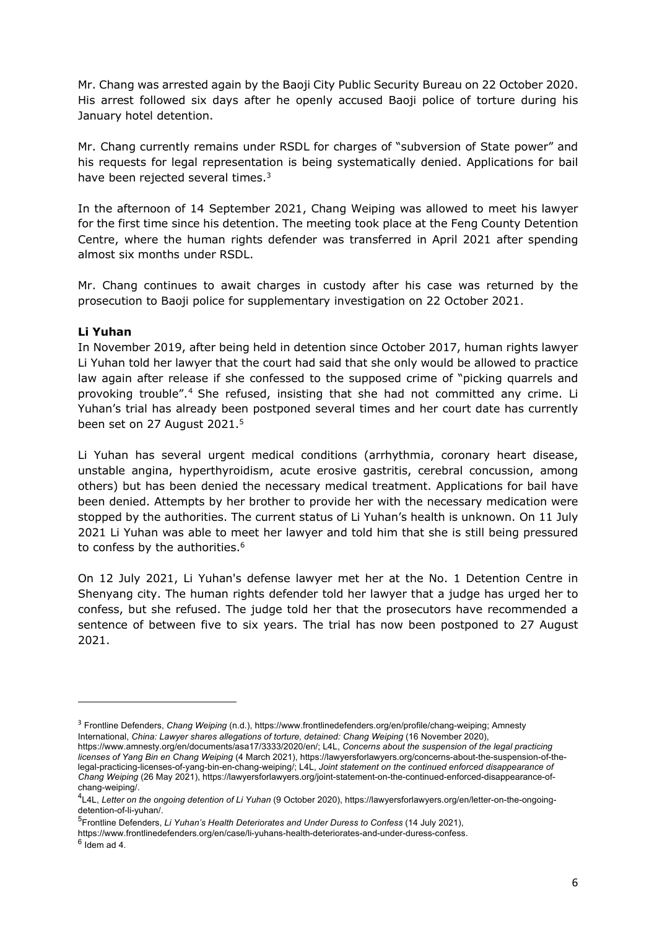Mr. Chang was arrested again by the Baoji City Public Security Bureau on 22 October 2020. His arrest followed six days after he openly accused Baoji police of torture during his January hotel detention.

Mr. Chang currently remains under RSDL for charges of "subversion of State power" and his requests for legal representation is being systematically denied. Applications for bail have been rejected several times.<sup>3</sup>

In the afternoon of 14 September 2021, Chang Weiping was allowed to meet his lawyer for the first time since his detention. The meeting took place at the Feng County Detention Centre, where the human rights defender was transferred in April 2021 after spending almost six months under RSDL.

Mr. Chang continues to await charges in custody after his case was returned by the prosecution to Baoji police for supplementary investigation on 22 October 2021.

## **Li Yuhan**

In November 2019, after being held in detention since October 2017, human rights lawyer Li Yuhan told her lawyer that the court had said that she only would be allowed to practice law again after release if she confessed to the supposed crime of "picking quarrels and provoking trouble".4 She refused, insisting that she had not committed any crime. Li Yuhan's trial has already been postponed several times and her court date has currently been set on 27 August 2021.<sup>5</sup>

Li Yuhan has several urgent medical conditions (arrhythmia, coronary heart disease, unstable angina, hyperthyroidism, acute erosive gastritis, cerebral concussion, among others) but has been denied the necessary medical treatment. Applications for bail have been denied. Attempts by her brother to provide her with the necessary medication were stopped by the authorities. The current status of Li Yuhan's health is unknown. On 11 July 2021 Li Yuhan was able to meet her lawyer and told him that she is still being pressured to confess by the authorities.<sup>6</sup>

On 12 July 2021, Li Yuhan's defense lawyer met her at the No. 1 Detention Centre in Shenyang city. The human rights defender told her lawyer that a judge has urged her to confess, but she refused. The judge told her that the prosecutors have recommended a sentence of between five to six years. The trial has now been postponed to 27 August 2021.

Frontline Defenders, *Li Yuhan's Health Deteriorates and Under Duress to Confess* (14 July 2021),

https://www.frontlinedefenders.org/en/case/li-yuhans-health-deteriorates-and-under-duress-confess. 6 Idem ad 4.

<sup>3</sup> Frontline Defenders, *Chang Weiping* (n.d.), https://www.frontlinedefenders.org/en/profile/chang-weiping; Amnesty International, *China: Lawyer shares allegations of torture, detained: Chang Weiping* (16 November 2020), https://www.amnesty.org/en/documents/asa17/3333/2020/en/; L4L, *Concerns about the suspension of the legal practicing*

*licenses of Yang Bin en Chang Weiping* (4 March 2021), https://lawyersforlawyers.org/concerns-about-the-suspension-of-thelegal-practicing-licenses-of-yang-bin-en-chang-weiping/; L4L, *Joint statement on the continued enforced disappearance of Chang Weiping* (26 May 2021), https://lawyersforlawyers.org/joint-statement-on-the-continued-enforced-disappearance-ofchang-weiping/. 4

L4L, *Letter on the ongoing detention of Li Yuhan* (9 October 2020), https://lawyersforlawyers.org/en/letter-on-the-ongoingdetention-of-li-yuhan/.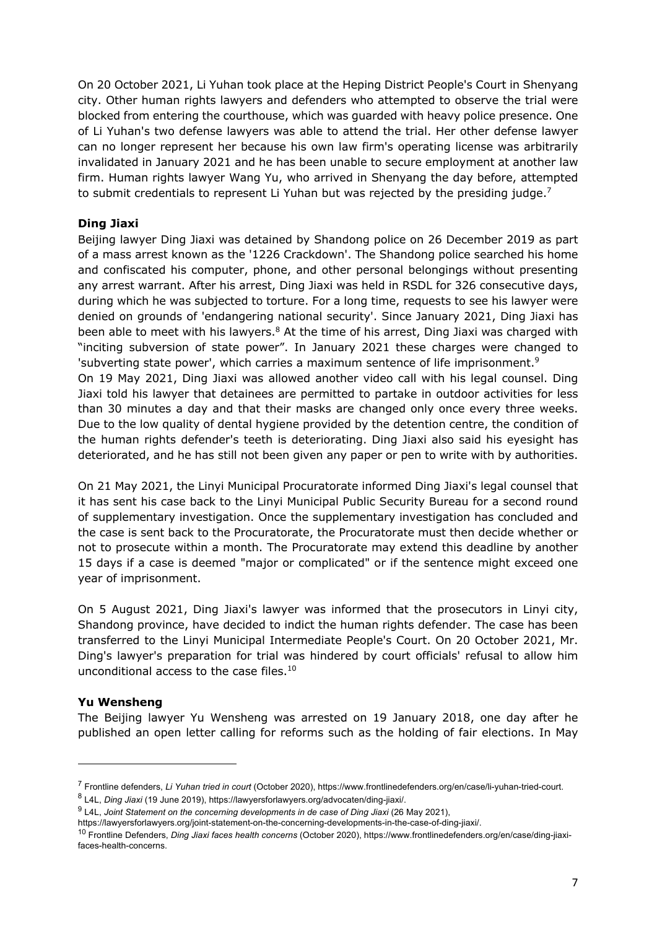On 20 October 2021, Li Yuhan took place at the Heping District People's Court in Shenyang city. Other human rights lawyers and defenders who attempted to observe the trial were blocked from entering the courthouse, which was guarded with heavy police presence. One of Li Yuhan's two defense lawyers was able to attend the trial. Her other defense lawyer can no longer represent her because his own law firm's operating license was arbitrarily invalidated in January 2021 and he has been unable to secure employment at another law firm. Human rights lawyer Wang Yu, who arrived in Shenyang the day before, attempted to submit credentials to represent Li Yuhan but was rejected by the presiding judge.<sup>7</sup>

# **Ding Jiaxi**

Beijing lawyer Ding Jiaxi was detained by Shandong police on 26 December 2019 as part of a mass arrest known as the '1226 Crackdown'. The Shandong police searched his home and confiscated his computer, phone, and other personal belongings without presenting any arrest warrant. After his arrest, Ding Jiaxi was held in RSDL for 326 consecutive days, during which he was subjected to torture. For a long time, requests to see his lawyer were denied on grounds of 'endangering national security'. Since January 2021, Ding Jiaxi has been able to meet with his lawyers.<sup>8</sup> At the time of his arrest, Ding Jiaxi was charged with "inciting subversion of state power". In January 2021 these charges were changed to 'subverting state power', which carries a maximum sentence of life imprisonment.<sup>9</sup>

On 19 May 2021, Ding Jiaxi was allowed another video call with his legal counsel. Ding Jiaxi told his lawyer that detainees are permitted to partake in outdoor activities for less than 30 minutes a day and that their masks are changed only once every three weeks. Due to the low quality of dental hygiene provided by the detention centre, the condition of the human rights defender's teeth is deteriorating. Ding Jiaxi also said his eyesight has deteriorated, and he has still not been given any paper or pen to write with by authorities.

On 21 May 2021, the Linyi Municipal Procuratorate informed Ding Jiaxi's legal counsel that it has sent his case back to the Linyi Municipal Public Security Bureau for a second round of supplementary investigation. Once the supplementary investigation has concluded and the case is sent back to the Procuratorate, the Procuratorate must then decide whether or not to prosecute within a month. The Procuratorate may extend this deadline by another 15 days if a case is deemed "major or complicated" or if the sentence might exceed one year of imprisonment.

On 5 August 2021, Ding Jiaxi's lawyer was informed that the prosecutors in Linyi city, Shandong province, have decided to indict the human rights defender. The case has been transferred to the Linyi Municipal Intermediate People's Court. On 20 October 2021, Mr. Ding's lawyer's preparation for trial was hindered by court officials' refusal to allow him unconditional access to the case files.<sup>10</sup>

## **Yu Wensheng**

The Beijing lawyer Yu Wensheng was arrested on 19 January 2018, one day after he published an open letter calling for reforms such as the holding of fair elections. In May

<sup>7</sup> Frontline defenders, *Li Yuhan tried in court* (October 2020), https://www.frontlinedefenders.org/en/case/li-yuhan-tried-court.

<sup>8</sup> L4L, *Ding Jiaxi* (19 June 2019), https://lawyersforlawyers.org/advocaten/ding-jiaxi/.

<sup>9</sup> L4L, *Joint Statement on the concerning developments in de case of Ding Jiaxi* (26 May 2021),

https://lawyersforlawyers.org/joint-statement-on-the-concerning-developments-in-the-case-of-ding-jiaxi/.<br><sup>10</sup> Frontline Defenders, *Ding Jiaxi faces health concerns* (October 2020), https://www.frontlinedefenders.org/en/ca faces-health-concerns.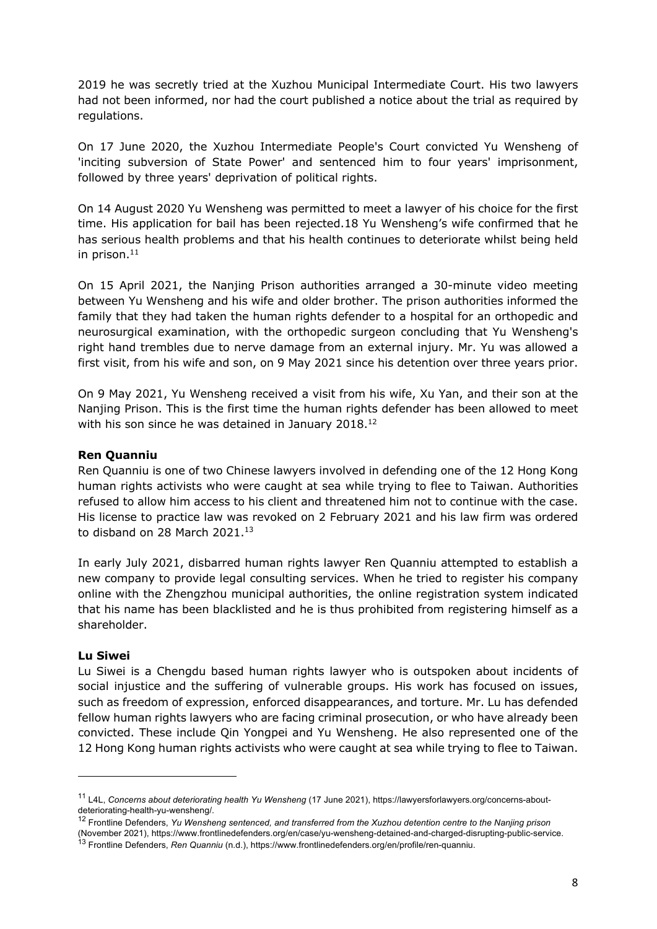2019 he was secretly tried at the Xuzhou Municipal Intermediate Court. His two lawyers had not been informed, nor had the court published a notice about the trial as required by regulations.

On 17 June 2020, the Xuzhou Intermediate People's Court convicted Yu Wensheng of 'inciting subversion of State Power' and sentenced him to four years' imprisonment, followed by three years' deprivation of political rights.

On 14 August 2020 Yu Wensheng was permitted to meet a lawyer of his choice for the first time. His application for bail has been rejected.18 Yu Wensheng's wife confirmed that he has serious health problems and that his health continues to deteriorate whilst being held in prison. $11$ 

On 15 April 2021, the Nanjing Prison authorities arranged a 30-minute video meeting between Yu Wensheng and his wife and older brother. The prison authorities informed the family that they had taken the human rights defender to a hospital for an orthopedic and neurosurgical examination, with the orthopedic surgeon concluding that Yu Wensheng's right hand trembles due to nerve damage from an external injury. Mr. Yu was allowed a first visit, from his wife and son, on 9 May 2021 since his detention over three years prior.

On 9 May 2021, Yu Wensheng received a visit from his wife, Xu Yan, and their son at the Nanjing Prison. This is the first time the human rights defender has been allowed to meet with his son since he was detained in January 2018.<sup>12</sup>

## **Ren Quanniu**

Ren Quanniu is one of two Chinese lawyers involved in defending one of the 12 Hong Kong human rights activists who were caught at sea while trying to flee to Taiwan. Authorities refused to allow him access to his client and threatened him not to continue with the case. His license to practice law was revoked on 2 February 2021 and his law firm was ordered to disband on 28 March 2021.<sup>13</sup>

In early July 2021, disbarred human rights lawyer Ren Quanniu attempted to establish a new company to provide legal consulting services. When he tried to register his company online with the Zhengzhou municipal authorities, the online registration system indicated that his name has been blacklisted and he is thus prohibited from registering himself as a shareholder.

## **Lu Siwei**

Lu Siwei is a Chengdu based human rights lawyer who is outspoken about incidents of social injustice and the suffering of vulnerable groups. His work has focused on issues, such as freedom of expression, enforced disappearances, and torture. Mr. Lu has defended fellow human rights lawyers who are facing criminal prosecution, or who have already been convicted. These include Qin Yongpei and Yu Wensheng. He also represented one of the 12 Hong Kong human rights activists who were caught at sea while trying to flee to Taiwan.

<sup>11</sup> L4L, *Concerns about deteriorating health Yu Wensheng* (17 June 2021), https://lawyersforlawyers.org/concerns-about-

deteriorating-health-yu-wensheng/.<br><sup>12</sup> Frontline Defenders, Yu Wensheng sentenced, and transferred from the Xuzhou detention centre to the Nanjing prison

<sup>(</sup>November 2021), https://www.frontlinedefenders.org/en/case/yu-wensheng-detained-and-charged-disrupting-public-service.

<sup>13</sup> Frontline Defenders, *Ren Quanniu* (n.d.), https://www.frontlinedefenders.org/en/profile/ren-quanniu.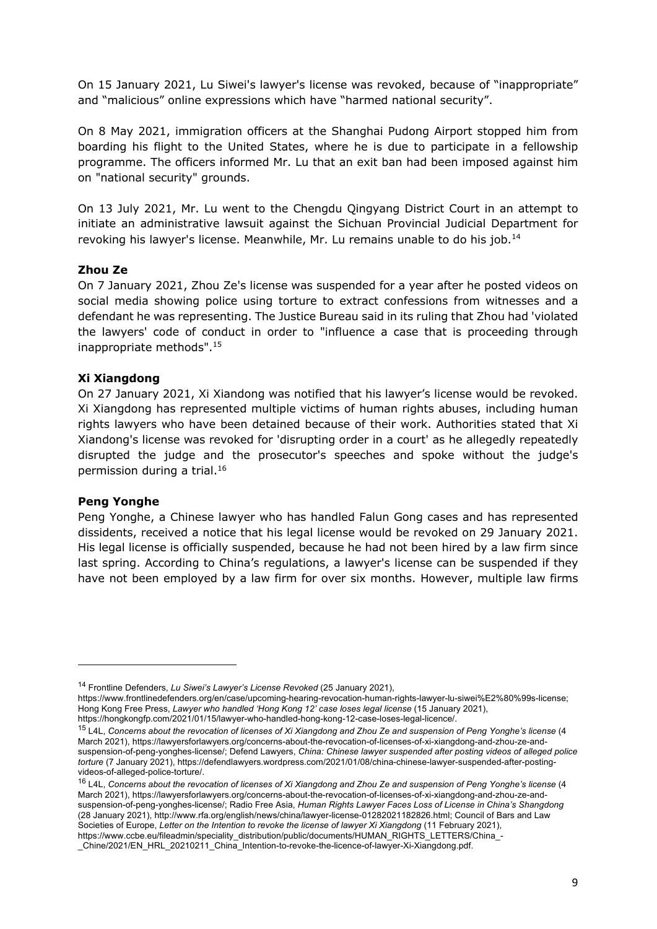On 15 January 2021, Lu Siwei's lawyer's license was revoked, because of "inappropriate" and "malicious" online expressions which have "harmed national security".

On 8 May 2021, immigration officers at the Shanghai Pudong Airport stopped him from boarding his flight to the United States, where he is due to participate in a fellowship programme. The officers informed Mr. Lu that an exit ban had been imposed against him on "national security" grounds.

On 13 July 2021, Mr. Lu went to the Chengdu Qingyang District Court in an attempt to initiate an administrative lawsuit against the Sichuan Provincial Judicial Department for revoking his lawyer's license. Meanwhile, Mr. Lu remains unable to do his job.<sup>14</sup>

## **Zhou Ze**

On 7 January 2021, Zhou Ze's license was suspended for a year after he posted videos on social media showing police using torture to extract confessions from witnesses and a defendant he was representing. The Justice Bureau said in its ruling that Zhou had 'violated the lawyers' code of conduct in order to "influence a case that is proceeding through inappropriate methods".15

## **Xi Xiangdong**

On 27 January 2021, Xi Xiandong was notified that his lawyer's license would be revoked. Xi Xiangdong has represented multiple victims of human rights abuses, including human rights lawyers who have been detained because of their work. Authorities stated that Xi Xiandong's license was revoked for 'disrupting order in a court' as he allegedly repeatedly disrupted the judge and the prosecutor's speeches and spoke without the judge's permission during a trial.16

### **Peng Yonghe**

Peng Yonghe, a Chinese lawyer who has handled Falun Gong cases and has represented dissidents, received a notice that his legal license would be revoked on 29 January 2021. His legal license is officially suspended, because he had not been hired by a law firm since last spring. According to China's regulations, a lawyer's license can be suspended if they have not been employed by a law firm for over six months. However, multiple law firms

<sup>14</sup> Frontline Defenders, *Lu Siwei's Lawyer's License Revoked* (25 January 2021),

https://www.frontlinedefenders.org/en/case/upcoming-hearing-revocation-human-rights-lawyer-lu-siwei%E2%80%99s-license; Hong Kong Free Press, *Lawyer who handled 'Hong Kong 12' case loses legal license* (15 January 2021), https://hongkongfp.com/2021/01/15/lawyer-who-handled-hong-kong-12-case-loses-legal-licence/.

<sup>&</sup>lt;sup>15</sup> L4L. Concerns about the revocation of licenses of Xi Xiangdong and Zhou Ze and suspension of Peng Yonghe's license (4 March 2021), https://lawyersforlawyers.org/concerns-about-the-revocation-of-licenses-of-xi-xiangdong-and-zhou-ze-andsuspension-of-peng-yonghes-license/; Defend Lawyers, *China: Chinese lawyer suspended after posting videos of alleged police torture* (7 January 2021), https://defendlawyers.wordpress.com/2021/01/08/china-chinese-lawyer-suspended-after-postingvideos-of-alleged-police-torture/.

<sup>&</sup>lt;sup>16</sup> L4L, Concerns about the revocation of licenses of Xi Xiangdong and Zhou Ze and suspension of Peng Yonghe's license (4 March 2021), https://lawyersforlawyers.org/concerns-about-the-revocation-of-licenses-of-xi-xiangdong-and-zhou-ze-andsuspension-of-peng-yonghes-license/; Radio Free Asia, *Human Rights Lawyer Faces Loss of License in China's Shangdong* (28 January 2021), http://www.rfa.org/english/news/china/lawyer-license-01282021182826.html; Council of Bars and Law Societies of Europe, *Letter on the Intention to revoke the license of lawyer Xi Xiangdong* (11 February 2021), https://www.ccbe.eu/fileadmin/speciality\_distribution/public/documents/HUMAN\_RIGHTS\_LETTERS/China\_-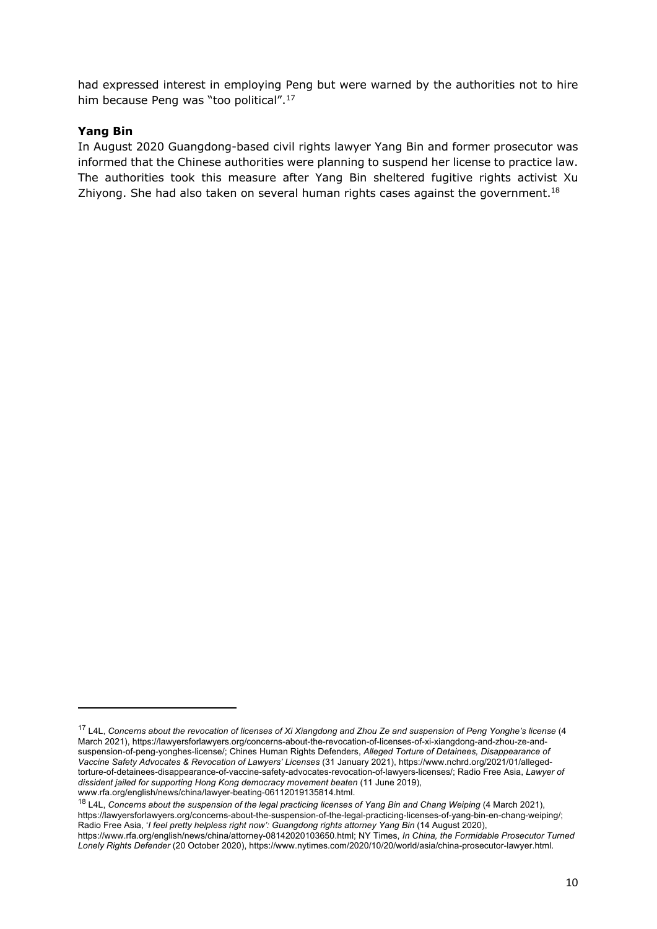had expressed interest in employing Peng but were warned by the authorities not to hire him because Peng was "too political".<sup>17</sup>

## **Yang Bin**

In August 2020 Guangdong-based civil rights lawyer Yang Bin and former prosecutor was informed that the Chinese authorities were planning to suspend her license to practice law. The authorities took this measure after Yang Bin sheltered fugitive rights activist Xu Zhiyong. She had also taken on several human rights cases against the government.<sup>18</sup>

<sup>&</sup>lt;sup>17</sup> L4L, Concerns about the revocation of licenses of Xi Xiangdong and Zhou Ze and suspension of Peng Yonghe's license (4 March 2021), https://lawyersforlawyers.org/concerns-about-the-revocation-of-licenses-of-xi-xiangdong-and-zhou-ze-andsuspension-of-peng-yonghes-license/; Chines Human Rights Defenders, *Alleged Torture of Detainees, Disappearance of Vaccine Safety Advocates & Revocation of Lawyers' Licenses* (31 January 2021), https://www.nchrd.org/2021/01/allegedtorture-of-detainees-disappearance-of-vaccine-safety-advocates-revocation-of-lawyers-licenses/; Radio Free Asia, *Lawyer of dissident jailed for supporting Hong Kong democracy movement beaten* (11 June 2019), www.rfa.org/english/news/china/lawyer-beating-06112019135814.html.

<sup>18</sup> L4L, *Concerns about the suspension of the legal practicing licenses of Yang Bin and Chang Weiping* (4 March 2021), https://lawyersforlawyers.org/concerns-about-the-suspension-of-the-legal-practicing-licenses-of-yang-bin-en-chang-weiping/; Radio Free Asia, '*I feel pretty helpless right now': Guangdong rights attorney Yang Bin* (14 August 2020),

https://www.rfa.org/english/news/china/attorney-08142020103650.html; NY Times, *In China, the Formidable Prosecutor Turned Lonely Rights Defender* (20 October 2020), https://www.nytimes.com/2020/10/20/world/asia/china-prosecutor-lawyer.html.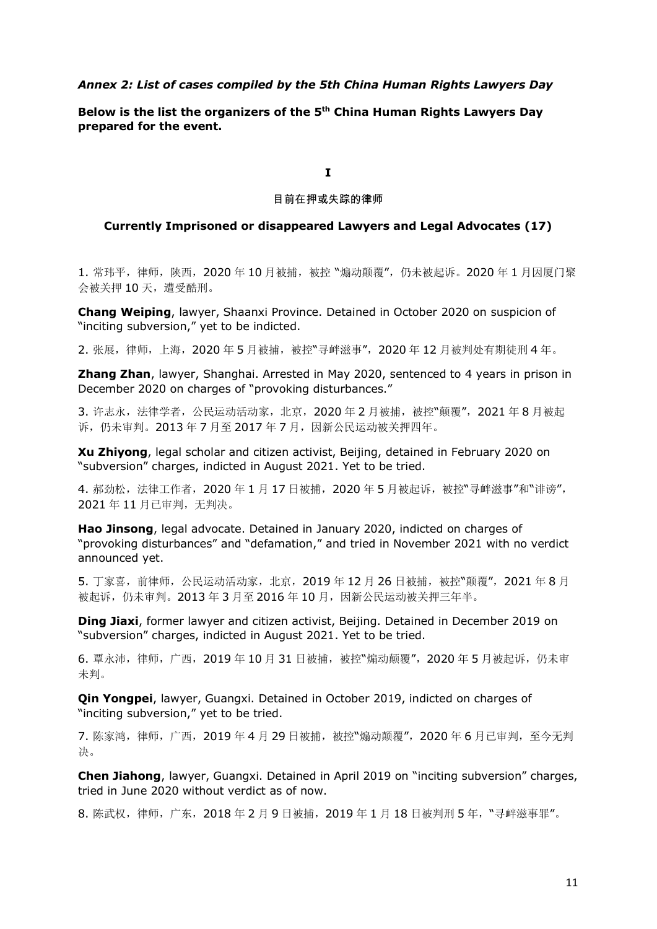### *Annex 2: List of cases compiled by the 5th China Human Rights Lawyers Day*

## **Below is the list the organizers of the 5th China Human Rights Lawyers Day prepared for the event.**

**I**

## 目前在押或失踪的律师

### **Currently Imprisoned or disappeared Lawyers and Legal Advocates (17)**

1. 常玮平,律师,陕西, 2020年10月被捕,被控 "煽动颠覆",仍未被起诉。2020年1月因厦门聚 会被关押 10 天,遭受酷刑。

**Chang Weiping**, lawyer, Shaanxi Province. Detained in October 2020 on suspicion of "inciting subversion," yet to be indicted.

2. 张展,律师,上海,2020 年 5 月被捕,被控"寻衅滋事",2020 年 12 月被判处有期徒刑 4 年。

**Zhang Zhan**, lawyer, Shanghai. Arrested in May 2020, sentenced to 4 years in prison in December 2020 on charges of "provoking disturbances."

3. 许志永,法律学者,公民运动活动家,北京, 2020年2月被捕,被控"颠覆", 2021年8月被起 诉,仍未审判。2013年7月至2017年7月,因新公民运动被关押四年。

**Xu Zhiyong**, legal scholar and citizen activist, Beijing, detained in February 2020 on "subversion" charges, indicted in August 2021. Yet to be tried.

4. 郝劲松,法律工作者, 2020年1月17日被捕, 2020年5月被起诉,被控"寻衅滋事"和"诽谤", 2021 年 11 月已审判,无判决。

**Hao Jinsong**, legal advocate. Detained in January 2020, indicted on charges of "provoking disturbances" and "defamation," and tried in November 2021 with no verdict announced yet.

5. 丁家喜,前律师,公民运动活动家,北京,2019 年 12 月 26 日被捕,被控"颠覆",2021 年 8 月 被起诉,仍未审判。2013年3月至2016年10月,因新公民运动被关押三年半。

**Ding Jiaxi**, former lawyer and citizen activist, Beijing. Detained in December 2019 on "subversion" charges, indicted in August 2021. Yet to be tried.

6. 覃永沛,律师,广西, 2019年10月 31 日被捕,被控"煽动颠覆", 2020年5月被起诉,仍未审 未判。

**Oin Yongpei**, lawyer, Guangxi. Detained in October 2019, indicted on charges of "inciting subversion," yet to be tried.

7. 陈家鸿,律师,广西, 2019 年 4 月 29 日被捕,被控 "煽动颠覆", 2020 年 6 月已审判,至今无判 决。

**Chen Jiahong**, lawyer, Guangxi. Detained in April 2019 on "inciting subversion" charges, tried in June 2020 without verdict as of now.

8. 陈武权,律师,广东,2018 年 2 月 9 日被捕,2019 年 1 月 18 日被判刑 5 年,"寻衅滋事罪"。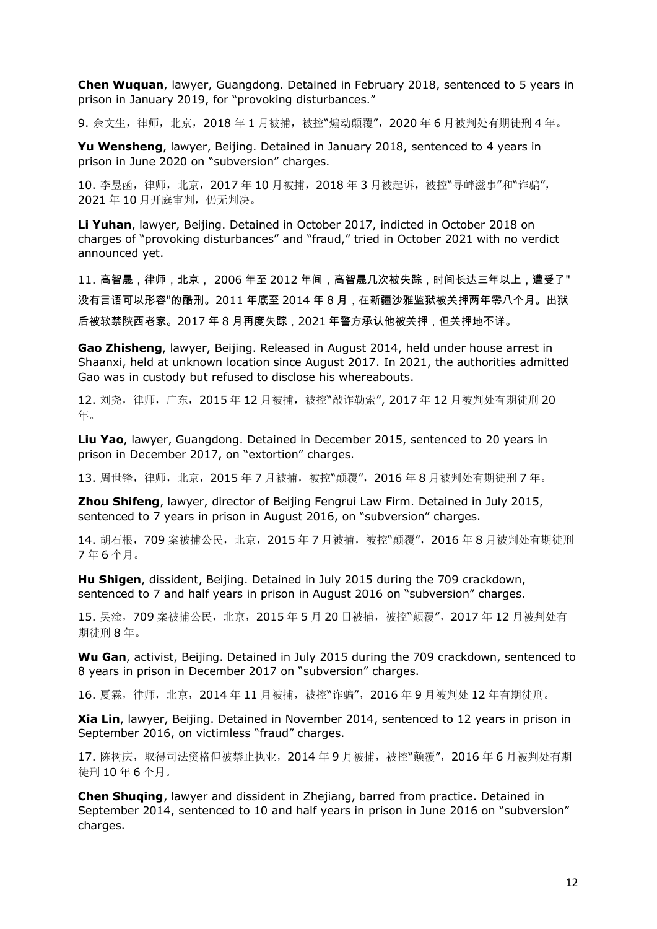**Chen Wuquan**, lawyer, Guangdong. Detained in February 2018, sentenced to 5 years in prison in January 2019, for "provoking disturbances."

9. 余文生, 律师, 北京, 2018年1月被捕, 被控"煽动颠覆", 2020年6月被判处有期徒刑4年。

**Yu Wensheng**, lawyer, Beijing. Detained in January 2018, sentenced to 4 years in prison in June 2020 on "subversion" charges.

10. 李昱函,律师,北京,2017 年 10 月被捕,2018 年 3 月被起诉,被控"寻衅滋事"和"诈骗", 2021 年 10 月开庭审判,仍无判决。

**Li Yuhan**, lawyer, Beijing. Detained in October 2017, indicted in October 2018 on charges of "provoking disturbances" and "fraud," tried in October 2021 with no verdict announced yet.

11. 高智晟,律师,北京, 2006 年至 2012 年间,高智晟几次被失踪,时间长达三年以上,遭受了" 没有言语可以形容"的酷刑。2011 年底至 2014 年 8 月,在新疆沙雅监狱被关押两年零八个月。出狱 后被软禁陕西老家。2017 年 8 月再度失踪,2021 年警方承认他被关押,但关押地不详。

**Gao Zhisheng**, lawyer, Beijing. Released in August 2014, held under house arrest in Shaanxi, held at unknown location since August 2017. In 2021, the authorities admitted Gao was in custody but refused to disclose his whereabouts.

12. 刘尧,律师,广东,2015 年 12 月被捕,被控"敲诈勒索", 2017 年 12 月被判处有期徒刑 20 年。

**Liu Yao**, lawyer, Guangdong. Detained in December 2015, sentenced to 20 years in prison in December 2017, on "extortion" charges.

13. 周世锋,律师,北京, 2015 年 7 月被捕,被控"颠覆", 2016 年 8 月被判处有期徒刑 7 年。

**Zhou Shifeng**, lawyer, director of Beijing Fengrui Law Firm. Detained in July 2015, sentenced to 7 years in prison in August 2016, on "subversion" charges.

14. 胡石根,709 案被捕公民, 北京, 2015 年 7 月被捕, 被控"颠覆", 2016 年 8 月被判处有期徒刑 7 年 6 个月。

**Hu Shigen**, dissident, Beijing. Detained in July 2015 during the 709 crackdown, sentenced to 7 and half years in prison in August 2016 on "subversion" charges.

15. 吴淦,709 案被捕公民,北京,2015 年 5 月 20 日被捕,被控"颠覆",2017 年 12 月被判处有 期徒刑 8 年。

**Wu Gan**, activist, Beijing. Detained in July 2015 during the 709 crackdown, sentenced to 8 years in prison in December 2017 on "subversion" charges.

16. 夏霖,律师,北京,2014 年 11 月被捕,被控"诈骗",2016 年 9 月被判处 12 年有期徒刑。

**Xia Lin**, lawyer, Beijing. Detained in November 2014, sentenced to 12 years in prison in September 2016, on victimless "fraud" charges.

17. 陈树庆,取得司法资格但被禁止执业,2014 年 9 月被捕,被控"颠覆",2016 年 6 月被判处有期 徒刑 10 年 6 个月。

**Chen Shuqing**, lawyer and dissident in Zhejiang, barred from practice. Detained in September 2014, sentenced to 10 and half years in prison in June 2016 on "subversion" charges.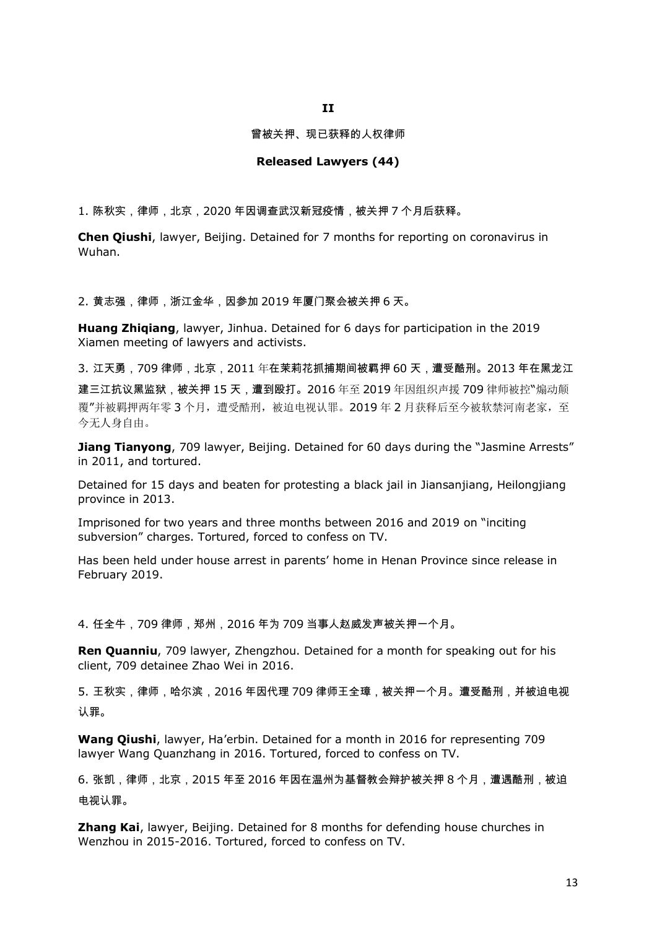#### $II$

#### 曾被关押、现已获释的人权律师

#### **Released Lawyers (44)**

1. 陈秋实,律师,北京,2020 年因调查武汉新冠疫情,被关押 7 个月后获释。

**Chen Qiushi**, lawyer, Beijing. Detained for 7 months for reporting on coronavirus in Wuhan

2. 黄志强,律师,浙江金华,因参加 2019 年厦门聚会被关押 6 天。

**Huang Zhigiang, lawyer, Jinhua. Detained for 6 days for participation in the 2019** Xiamen meeting of lawyers and activists.

3. 江天勇,709 律师,北京,2011 年在茉莉花抓捕期间被羁押 60 天,遭受酷刑。2013 年在黑龙江

建三江抗议黑监狱,被关押 15 天,遭到殴打。2016 年至 2019 年因组织声援 709 律师被控"煽动颠 覆"并被羁押两年零3个月,遭受酷刑,被迫电视认罪。2019年2月获释后至今被软禁河南老家,至 今无人身自由。

Jiang Tianyong, 709 lawyer, Beijing, Detained for 60 days during the "Jasmine Arrests" in 2011, and tortured.

Detained for 15 days and beaten for protesting a black jail in Jiansanjiang, Heilongjiang province in 2013.

Imprisoned for two years and three months between 2016 and 2019 on "inciting" subversion" charges. Tortured, forced to confess on TV.

Has been held under house arrest in parents' home in Henan Province since release in February 2019.

4. 任全牛,709 律师,郑州,2016 年为 709 当事人赵威发声被关押一个月。

**Ren Quanniu, 709 lawyer, Zhengzhou. Detained for a month for speaking out for his** client, 709 detainee Zhao Wei in 2016.

5. 王秋实,律师,哈尔滨,2016 年因代理 709 律师王全璋,被关押一个月。遭受酷刑,并被迫电视 认罪。

Wang Qiushi, lawyer, Ha'erbin. Detained for a month in 2016 for representing 709 lawyer Wang Quanzhang in 2016. Tortured, forced to confess on TV.

6. 张凯,律师,北京,2015 年至 2016 年因在温州为基督教会辩护被关押 8 个月,遭遇酷刑,被迫 电视认罪。

Zhang Kai, lawyer, Beijing. Detained for 8 months for defending house churches in Wenzhou in 2015-2016. Tortured, forced to confess on TV.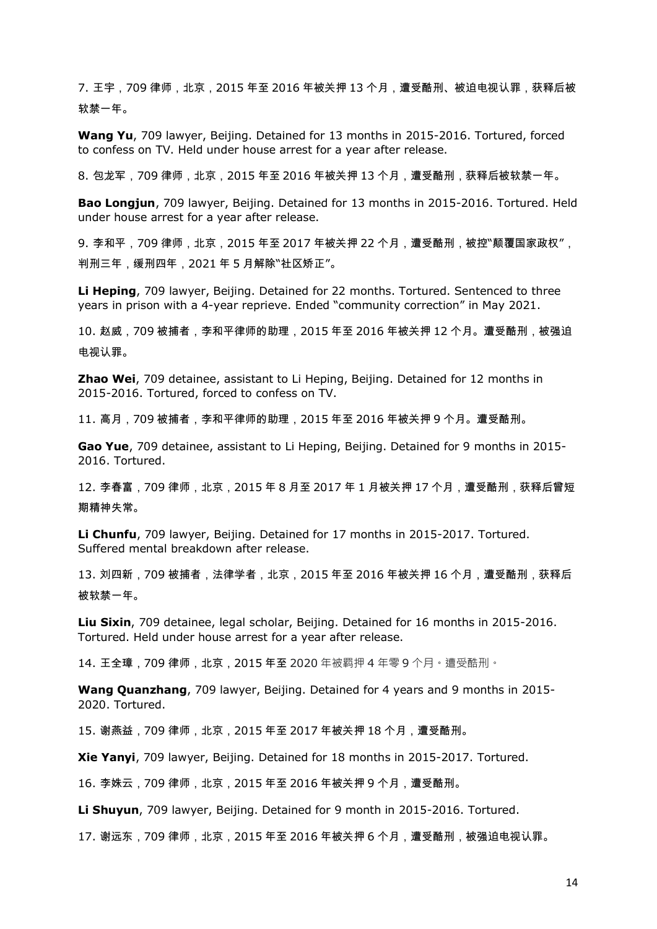7. 王宇,709 律师,北京,2015 年至 2016 年被关押 13 个月,遭受酷刑、被迫电视认罪,获释后被 软禁一年。

**Wang Yu**, 709 lawyer, Beijing. Detained for 13 months in 2015-2016. Tortured, forced to confess on TV. Held under house arrest for a year after release.

8. 包龙军,709 律师,北京,2015 年至 2016 年被关押 13 个月,遭受酷刑,获释后被软禁一年。

**Bao Longjun**, 709 lawyer, Beijing. Detained for 13 months in 2015-2016. Tortured. Held under house arrest for a vear after release.

9. 李和平,709 律师,北京,2015 年至 2017 年被关押 22 个月,遭受酷刑,被控"颠覆国家政权*"*, 判刑三年,缓刑四年,2021年5月解除"社区矫正"。

Li Heping, 709 lawyer, Beijing, Detained for 22 months, Tortured, Sentenced to three years in prison with a 4-year reprieve. Ended "community correction" in May 2021.

10. 赵威,709 被捕者,李和平律师的助理,2015 年至 2016 年被关押 12 个月。遭受酷刑,被强迫 电视认罪。

Zhao Wei, 709 detainee, assistant to Li Heping, Beijing. Detained for 12 months in 2015-2016. Tortured, forced to confess on TV.

11. 高月,709 被捕者,李和平律师的助理,2015 年至 2016 年被关押 9 个月。遭受酷刑。

Gao Yue, 709 detainee, assistant to Li Heping, Beijing. Detained for 9 months in 2015-2016. Tortured.

12. 李春富,709 律师,北京,2015 年 8 月至 2017 年 1 月被关押 17 个月,遭受酷刑,获释后曾短 期精神失常。

Li Chunfu, 709 lawyer, Beijing. Detained for 17 months in 2015-2017. Tortured. Suffered mental breakdown after release.

13. 刘四新,709 被捕者,法律学者,北京,2015 年至 2016 年被关押 16 个月,遭受酷刑,获释后 被软禁一年。

Liu Sixin, 709 detainee, legal scholar, Beijing, Detained for 16 months in 2015-2016. Tortured. Held under house arrest for a year after release.

14. 王全璋,709 律师,北京,2015 年至 2020 年被羁押 4 年零 9 个月。遭受酷刑。

**Wang Quanzhang**, 709 lawyer, Beijing. Detained for 4 years and 9 months in 2015-2020. Tortured.

15. 谢燕益,709律师,北京,2015年至2017年被关押18个月,遭受酷刑。

Xie Yanyi, 709 lawyer, Beijing. Detained for 18 months in 2015-2017. Tortured.

16. 李姝云,709 律师,北京,2015 年至 2016 年被关押 9 个月,遭受酷刑。

Li Shuyun, 709 lawyer, Beijing. Detained for 9 month in 2015-2016. Tortured.

17. 谢远东,709 律师,北京,2015 年至 2016 年被关押 6 个月,遭受酷刑,被强迫电视认罪。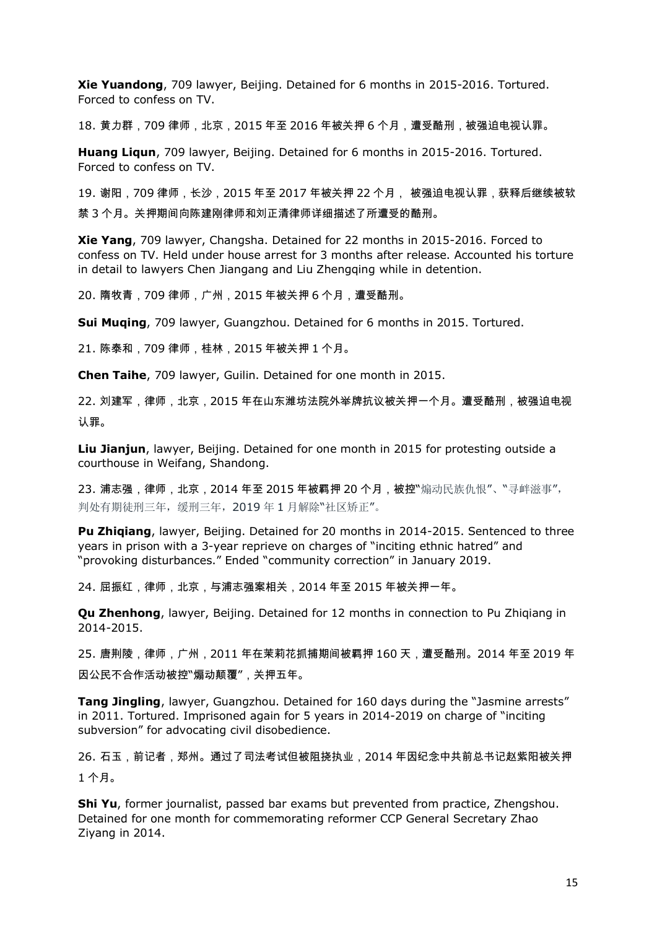Xie Yuandong, 709 lawyer, Beijing. Detained for 6 months in 2015-2016. Tortured. Forced to confess on TV.

18. 黄力群,709 律师,北京,2015 年至 2016 年被关押 6 个月,遭受酷刑,被强迫电视认罪。

Huang Ligun, 709 lawyer, Beijing, Detained for 6 months in 2015-2016, Tortured. Forced to confess on TV.

19. 谢阳,709 律师,长沙,2015 年至 2017 年被关押 22 个月, 被强迫电视认罪,获释后继续被软 禁3个月。关押期间向陈建刚律师和刘正清律师详细描述了所遭受的酷刑。

Xie Yang, 709 lawyer, Changsha. Detained for 22 months in 2015-2016. Forced to confess on TV. Held under house arrest for 3 months after release. Accounted his torture in detail to lawyers Chen Jiangang and Liu Zhengging while in detention.

20. 隋牧青, 709 律师, 广州, 2015 年被关押 6 个月, 遭受酷刑。

Sui Muging, 709 lawyer, Guangzhou. Detained for 6 months in 2015. Tortured.

21. 陈泰和, 709 律师, 桂林, 2015 年被关押 1 个月。

Chen Taihe, 709 lawyer, Guilin. Detained for one month in 2015.

22. 刘建军,律师,北京,2015 年在山东潍坊法院外举牌抗议被关押一个月。遭受酷刑,被强迫电视 认罪。

Liu Jianjun, lawyer, Beijing. Detained for one month in 2015 for protesting outside a courthouse in Weifang, Shandong.

23. 浦志强,律师,北京,2014 年至 2015 年被羁押 20 个月,被控"煽动民族仇恨"、"寻衅滋事", 判处有期徒刑三年,缓刑三年,2019年1月解除"社区矫正"。

Pu Zhigiang, lawyer, Beijing, Detained for 20 months in 2014-2015. Sentenced to three years in prison with a 3-year reprieve on charges of "inciting ethnic hatred" and "provoking disturbances." Ended "community correction" in January 2019.

24. 屈振红,律师,北京,与浦志强案相关,2014 年至 2015 年被关押一年。

**Ou Zhenhong**, lawyer, Beijing. Detained for 12 months in connection to Pu Zhigiang in 2014-2015.

25. 唐荆陵,律师,广州,2011 年在茉莉花抓捕期间被羁押 160 天,遭受酷刑。2014 年至 2019 年 因公民不合作活动被控"煽动颠覆",关押五年。

**Tang Jingling**, lawyer, Guangzhou. Detained for 160 days during the "Jasmine arrests" in 2011. Tortured. Imprisoned again for 5 years in 2014-2019 on charge of "inciting subversion" for advocating civil disobedience.

26. 石玉,前记者,郑州。通过了司法考试但被阻挠执业,2014 年因纪念中共前总书记赵紫阳被关押 1个月。

Shi Yu, former journalist, passed bar exams but prevented from practice, Zhengshou. Detained for one month for commemorating reformer CCP General Secretary Zhao Ziyang in 2014.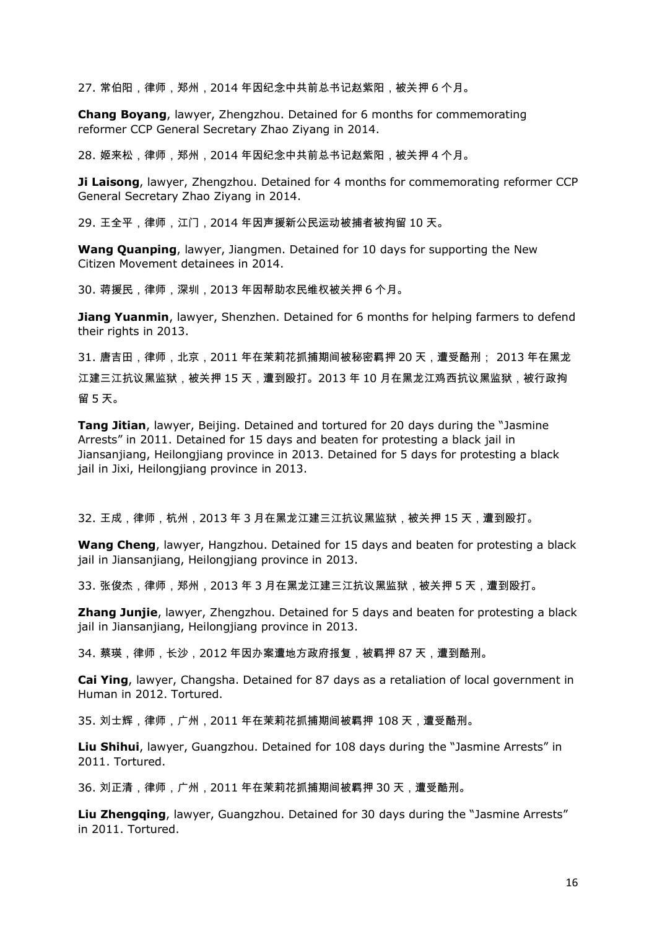27. 常伯阳,律师,郑州,2014 年因纪念中共前总书记赵紫阳,被关押 6 个月。

**Chang Boyang**, lawyer, Zhengzhou. Detained for 6 months for commemorating reformer CCP General Secretary Zhao Ziyang in 2014.

28. 姬来松,律师,郑州,2014 年因纪念中共前总书记赵紫阳,被关押 4 个月。

**Ji Laisong**, lawyer, Zhengzhou. Detained for 4 months for commemorating reformer CCP General Secretary Zhao Ziyang in 2014.

29. 王全平,律师,江门,2014 年因声援新公民运动被捕者被拘留 10 天。

**Wang Quanping**, lawyer, Jiangmen. Detained for 10 days for supporting the New Citizen Movement detainees in 2014.

30. 蒋援民,律师,深圳, 2013 年因帮助农民维权被关押6个月。

**Jiang Yuanmin**, lawyer, Shenzhen. Detained for 6 months for helping farmers to defend their rights in 2013.

31. 唐吉田,律师,北京,2011 年在茉莉花抓捕期间被秘密羁押 20 天,遭受酷刑; 2013 年在黑龙 江建三江抗议黑监狱,被关押 15 天,遭到殴打。2013 年 10 月在黑龙江鸡西抗议黑监狱,被行政拘 留 5 天。

**Tang Jitian**, lawyer, Beijing. Detained and tortured for 20 days during the "Jasmine Arrests" in 2011. Detained for 15 days and beaten for protesting a black jail in Jiansanjiang, Heilongjiang province in 2013. Detained for 5 days for protesting a black jail in Jixi, Heilongjiang province in 2013.

32. 王成,律师,杭州,2013 年 3 月在黑龙江建三江抗议黑监狱,被关押 15 天,遭到殴打。

**Wang Cheng**, lawyer, Hangzhou. Detained for 15 days and beaten for protesting a black jail in Jiansanjiang, Heilongjiang province in 2013.

33. 张俊杰,律师,郑州,2013 年 3 月在黑龙江建三江抗议黑监狱,被关押 5 天,遭到殴打。

**Zhang Junjie**, lawyer, Zhengzhou. Detained for 5 days and beaten for protesting a black jail in Jiansanjiang, Heilongjiang province in 2013.

34. 蔡瑛.律师.长沙.2012 年因办案遭地方政府报复.被羁押 87 天.遭到酷刑。

**Cai Ying**, lawyer, Changsha. Detained for 87 days as a retaliation of local government in Human in 2012. Tortured.

35. 刘士辉,律师,广州,2011 年在茉莉花抓捕期间被羁押 108 天,遭受酷刑。

**Liu Shihui**, lawyer, Guangzhou. Detained for 108 days during the "Jasmine Arrests" in 2011. Tortured.

36. 刘正清,律师,广州,2011 年在茉莉花抓捕期间被羁押 30 天,遭受酷刑。

**Liu Zhengqing**, lawyer, Guangzhou. Detained for 30 days during the "Jasmine Arrests" in 2011. Tortured.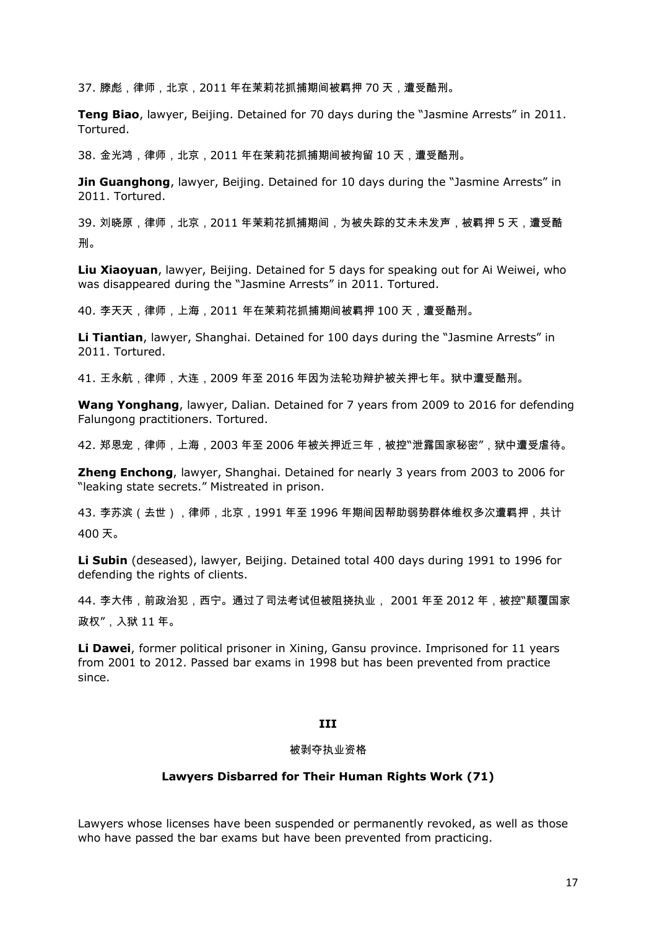37. 滕彪,律师,北京,2011 年在茉莉花抓捕期间被羁押 70 天,遭受酷刑。

Teng Biao, lawyer, Beijing. Detained for 70 days during the "Jasmine Arrests" in 2011. Tortured.

38. 金光鸿,律师,北京,2011 年在茉莉花抓捕期间被拘留 10 天,遭受酷刑。

**Jin Guanghong**, lawyer, Beijing. Detained for 10 days during the "Jasmine Arrests" in 2011. Tortured.

39. 刘晓原,律师,北京,2011 年茉莉花抓捕期间,为被失踪的艾未未发声,被羁押 5 天,遭受酷 刑。

Liu Xiaoyuan, lawyer, Beijing. Detained for 5 days for speaking out for Ai Weiwei, who was disappeared during the "Jasmine Arrests" in 2011. Tortured.

40. 李天天,律师,上海,2011 年在茉莉花抓捕期间被羁押 100 天,遭受酷刑。

Li Tiantian, lawyer, Shanghai. Detained for 100 days during the "Jasmine Arrests" in 2011. Tortured.

41. 王永航,律师,大连,2009 年至 2016 年因为法轮功辩护被关押七年。狱中遭受酷刑。

**Wang Yonghang, lawyer, Dalian. Detained for 7 years from 2009 to 2016 for defending** Falungong practitioners. Tortured.

42. 郑恩宠,律师,上海,2003 年至 2006 年被关押近三年,被控"泄露国家秘密",狱中遭受虐待。

Zheng Enchong, lawyer, Shanghai. Detained for nearly 3 years from 2003 to 2006 for "leaking state secrets." Mistreated in prison.

43. 李苏滨(去世),律师,北京,1991 年至 1996 年期间因帮助弱势群体维权多次遭羁押,共计  $400 \, \text{K}$ 。

Li Subin (deseased), lawyer, Beijing. Detained total 400 days during 1991 to 1996 for defending the rights of clients.

44. 李大伟,前政治犯,西宁。通讨了司法考试但被阳挠执业, 2001 年至 2012 年,被控"颠覆国家 政权", 入狱 11年。

Li Dawei, former political prisoner in Xining, Gansu province. Imprisoned for 11 years from 2001 to 2012. Passed bar exams in 1998 but has been prevented from practice since.

### III

#### 被剥夺执业资格

### Lawyers Disbarred for Their Human Rights Work (71)

Lawyers whose licenses have been suspended or permanently revoked, as well as those who have passed the bar exams but have been prevented from practicing.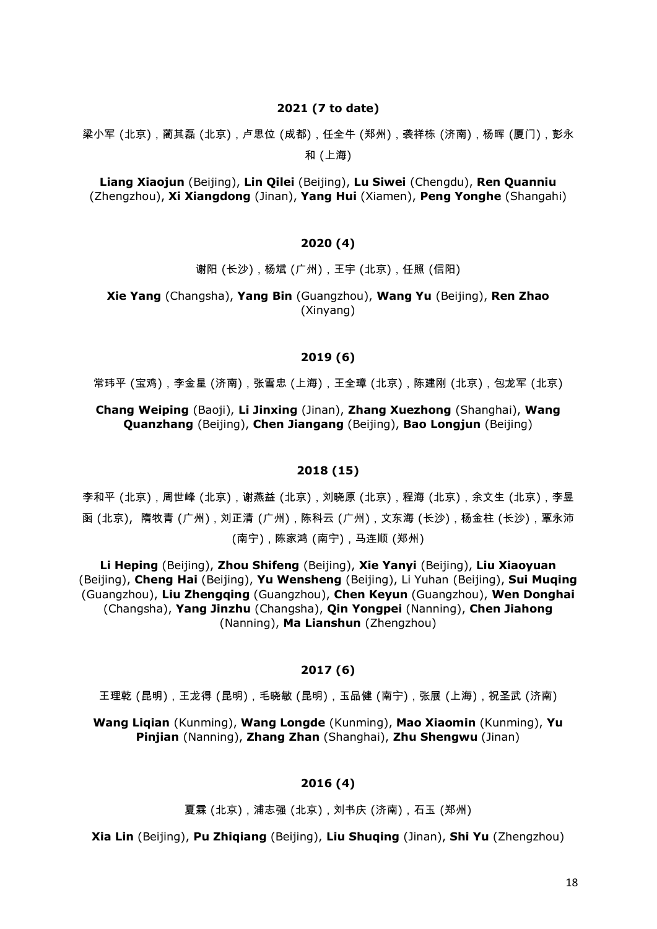#### **2021 (7 to date)**

梁小军 (北京),蔺其磊 (北京),卢思位 (成都),任全牛 (郑州),袭祥栋 (济南),杨晖 (厦门),彭永 和 (上海)

**Liang Xiaojun** (Beijing), **Lin Qilei** (Beijing), **Lu Siwei** (Chengdu), **Ren Quanniu** (Zhengzhou), **Xi Xiangdong** (Jinan), **Yang Hui** (Xiamen), **Peng Yonghe** (Shangahi)

### **2020 (4)**

谢阳 (长沙),杨斌 (广州),王宇 (北京),任照 (信阳)

**Xie Yang** (Changsha), **Yang Bin** (Guangzhou), **Wang Yu** (Beijing), **Ren Zhao** (Xinyang)

#### **2019 (6)**

常玮平 (宝鸡),李金星 (济南),张雪忠 (上海),王全璋 (北京),陈建刚 (北京),包龙军 (北京)

**Chang Weiping** (Baoji), **Li Jinxing** (Jinan), **Zhang Xuezhong** (Shanghai), **Wang Quanzhang** (Beijing), **Chen Jiangang** (Beijing), **Bao Longjun** (Beijing)

#### **2018 (15)**

李和平 (北京),周世峰 (北京),谢燕益 (北京),刘晓原 (北京),程海 (北京),余文生 (北京),李昱 函 (北京),隋牧青 (广州),刘正清 (广州),陈科云 (广州),文东海 (长沙),杨金柱 (长沙),覃永沛 (南宁), 陈家鸿 (南宁), 马连顺 (郑州)

**Li Heping** (Beijing), **Zhou Shifeng** (Beijing), **Xie Yanyi** (Beijing), **Liu Xiaoyuan** (Beijing), **Cheng Hai** (Beijing), **Yu Wensheng** (Beijing), Li Yuhan (Beijing), **Sui Muqing** (Guangzhou), **Liu Zhengqing** (Guangzhou), **Chen Keyun** (Guangzhou), **Wen Donghai** (Changsha), **Yang Jinzhu** (Changsha), **Qin Yongpei** (Nanning), **Chen Jiahong** (Nanning), **Ma Lianshun** (Zhengzhou)

### **2017 (6)**

王理乾 (昆明),王龙得 (昆明),毛晓敏 (昆明),玉品健 (南宁),张展 (上海),祝圣武 (济南)

**Wang Liqian** (Kunming), **Wang Longde** (Kunming), **Mao Xiaomin** (Kunming), **Yu Pinjian** (Nanning), **Zhang Zhan** (Shanghai), **Zhu Shengwu** (Jinan)

### **2016 (4)**

夏霖 (北京),浦志强 (北京),刘书庆 (济南),石玉 (郑州)

**Xia Lin** (Beijing), **Pu Zhiqiang** (Beijing), **Liu Shuqing** (Jinan), **Shi Yu** (Zhengzhou)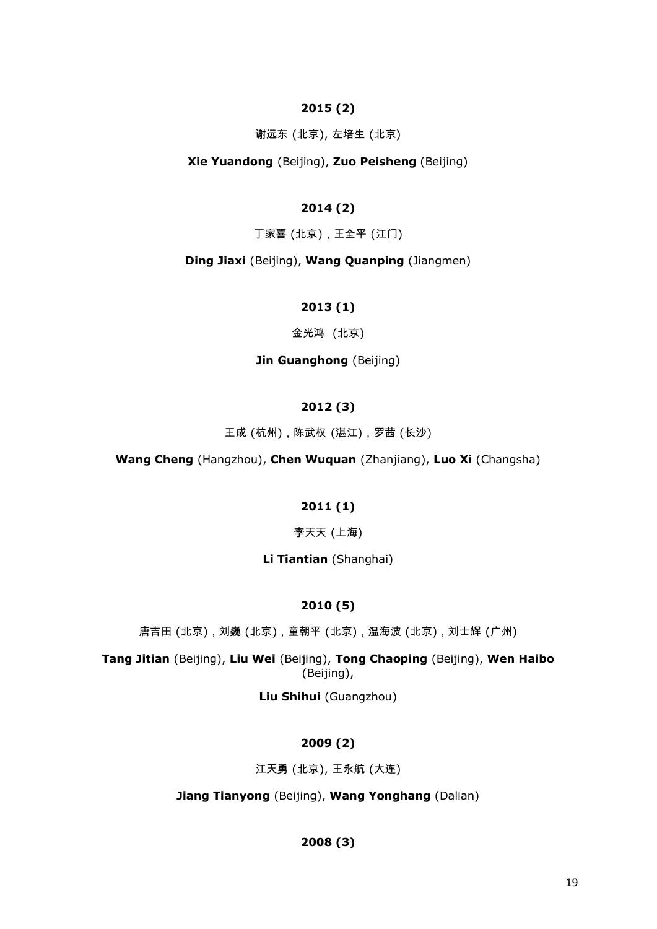# $2015(2)$

谢远东 (北京), 左培生 (北京)

### Xie Yuandong (Beijing), Zuo Peisheng (Beijing)

### $2014(2)$

丁家喜 (北京),王全平 (江门)

### Ding Jiaxi (Beijing), Wang Quanping (Jiangmen)

## $2013(1)$

金光鸿 (北京)

## **Jin Guanghong** (Beijing)

# $2012(3)$

王成 (杭州), 陈武权 (湛江), 罗茜 (长沙)

Wang Cheng (Hangzhou), Chen Wuquan (Zhanjiang), Luo Xi (Changsha)

# $2011(1)$

李天天 (上海)

## Li Tiantian (Shanghai)

## $2010(5)$

唐吉田 (北京),刘巍 (北京),童朝平 (北京),温海波 (北京),刘士辉 (广州)

Tang Jitian (Beijing), Liu Wei (Beijing), Tong Chaoping (Beijing), Wen Haibo (Beijing),

Liu Shihui (Guangzhou)

## $2009(2)$

江天勇 (北京), 王永航 (大连)

# Jiang Tianyong (Beijing), Wang Yonghang (Dalian)

## $2008(3)$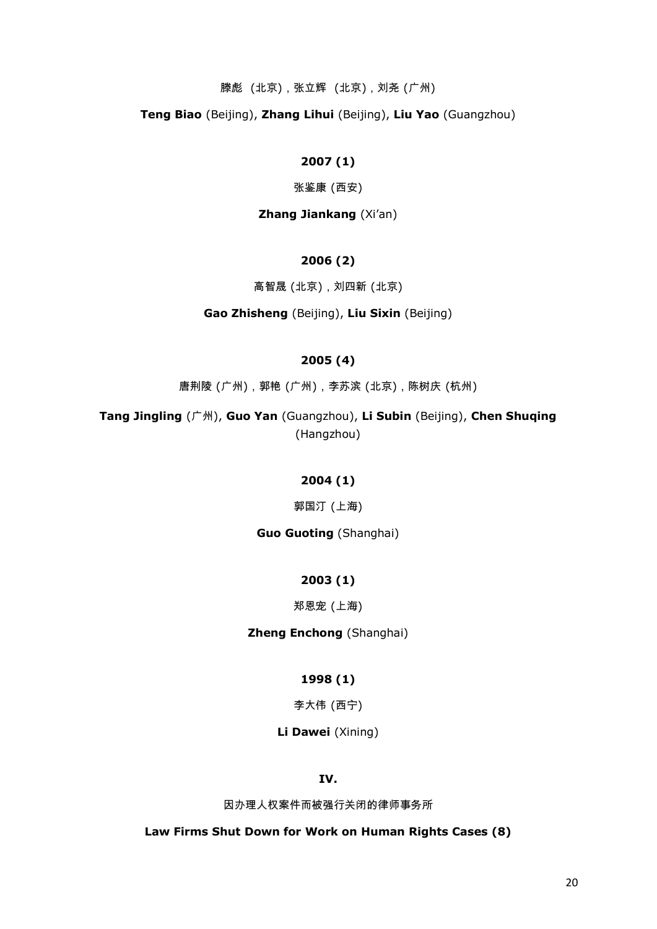滕彪 (北京), 张立辉 (北京), 刘尧 (广州)

Teng Biao (Beijing), Zhang Lihui (Beijing), Liu Yao (Guangzhou)

# $2007(1)$

张鉴康 (西安)

# Zhang Jiankang (Xi'an)

# $2006(2)$

高智晟 (北京), 刘四新 (北京)

Gao Zhisheng (Beijing), Liu Sixin (Beijing)

# $2005(4)$

唐荆陵 (广州), 郭艳 (广州), 李苏滨 (北京), 陈树庆 (杭州)

Tang Jingling (广州), Guo Yan (Guangzhou), Li Subin (Beijing), Chen Shuqing (Hangzhou)

### $2004(1)$

## 郭国汀 (上海)

### **Guo Guoting (Shanghai)**

### $2003(1)$

### 郑恩宠 (上海)

### Zheng Enchong (Shanghai)

### $1998(1)$

# 李大伟 (西宁)

## Li Dawei (Xining)

## IV.

## 因办理人权案件而被强行关闭的律师事务所

Law Firms Shut Down for Work on Human Rights Cases (8)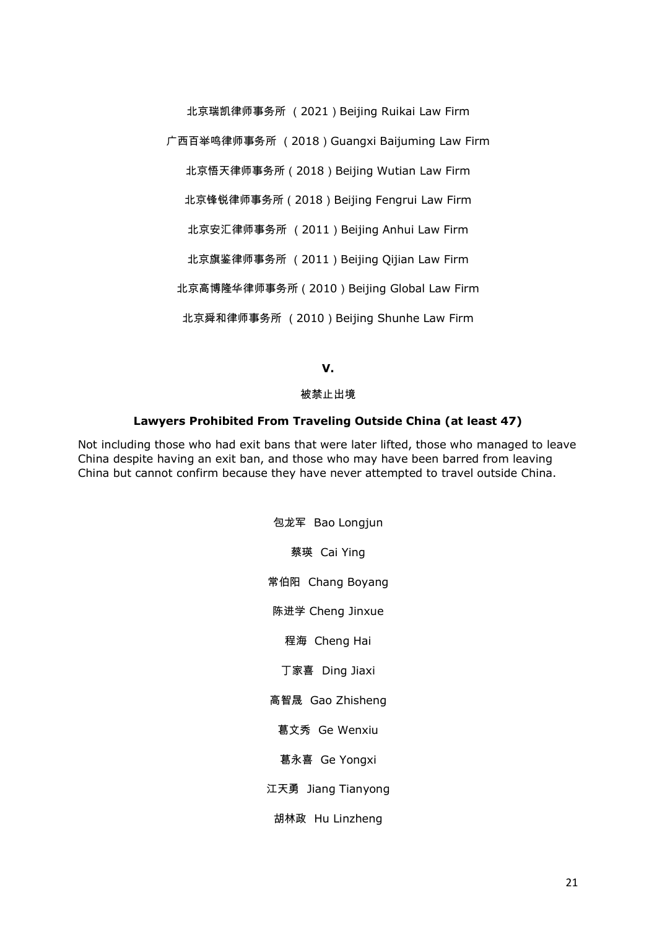北京瑞凯律师事务所 (2021) Beijing Ruikai Law Firm

广西百举鸣律师事务所 (2018) Guangxi Baijuming Law Firm

北京悟天律师事务所 (2018) Beijing Wutian Law Firm

北京锋锐律师事务所 (2018) Beijing Fengrui Law Firm

北京安汇律师事务所 (2011) Beijing Anhui Law Firm

北京旗鉴律师事务所 (2011) Beijing Qijian Law Firm

北京高博隆华律师事务所 (2010) Beijing Global Law Firm

北京舜和律师事务所 (2010) Beijing Shunhe Law Firm

 $\mathbf{V}$ .

### 被禁止出境

#### Lawyers Prohibited From Traveling Outside China (at least 47)

Not including those who had exit bans that were later lifted, those who managed to leave China despite having an exit ban, and those who may have been barred from leaving China but cannot confirm because they have never attempted to travel outside China.

> 包龙军 Bao Longjun 蔡瑛 Cai Ying 常伯阳 Chang Boyang 陈进学 Cheng Jinxue 程海 Cheng Hai 丁家喜 Ding Jiaxi 高智晟 Gao Zhisheng 葛文秀 Ge Wenxiu 葛永喜 Ge Yongxi 江天勇 Jiang Tianyong 胡林政 Hu Linzheng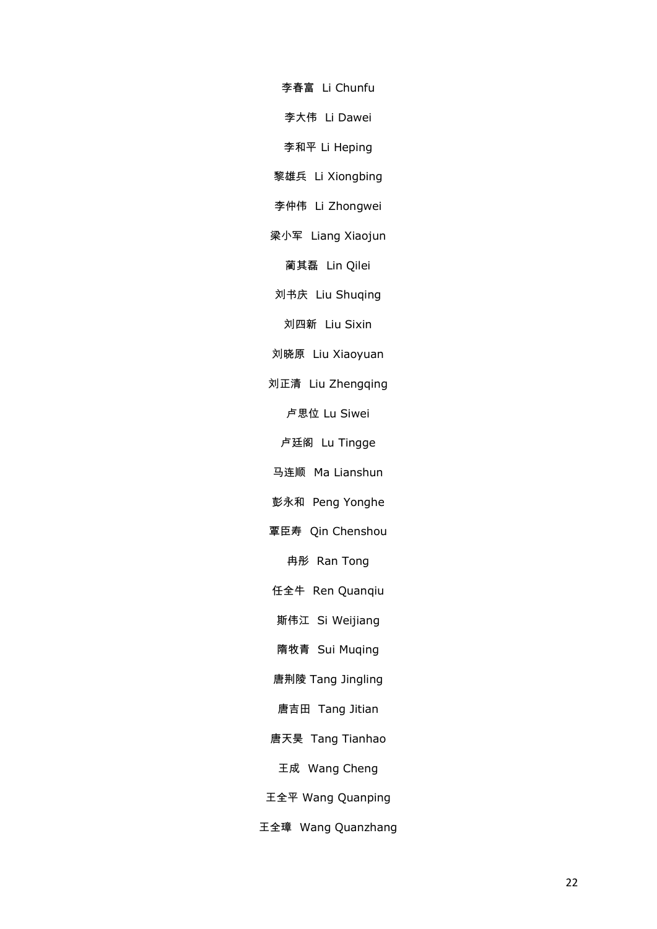- 李春富 Li Chunfu
- 李大伟 Li Dawei
- 李和平 Li Heping
- 黎雄兵 Li Xiongbing
- 李仲伟 Li Zhongwei
- 梁小军 Liang Xiaojun
	- 蔺其磊 Lin Qilei
- 刘书庆 Liu Shuqing
	- 刘四新 Liu Sixin
- 刘晓原 Liu Xiaoyuan
- 刘正清 Liu Zhengqing

卢思位 Lu Siwei

- 卢廷阁 Lu Tingge
- 马连顺 Ma Lianshun
- 彭永和 Peng Yonghe
- 覃臣寿 Qin Chenshou
	- 冉彤 Ran Tong
- 任全牛 Ren Quanqiu
- 斯伟江 Si Weijiang
- 隋牧青 Sui Muqing
- 唐荆陵 Tang Jingling
- 唐吉田 Tang Jitian
- 唐天昊 Tang Tianhao
- 王成 Wang Cheng
- 王全平 Wang Quanping
- 王全璋 Wang Quanzhang